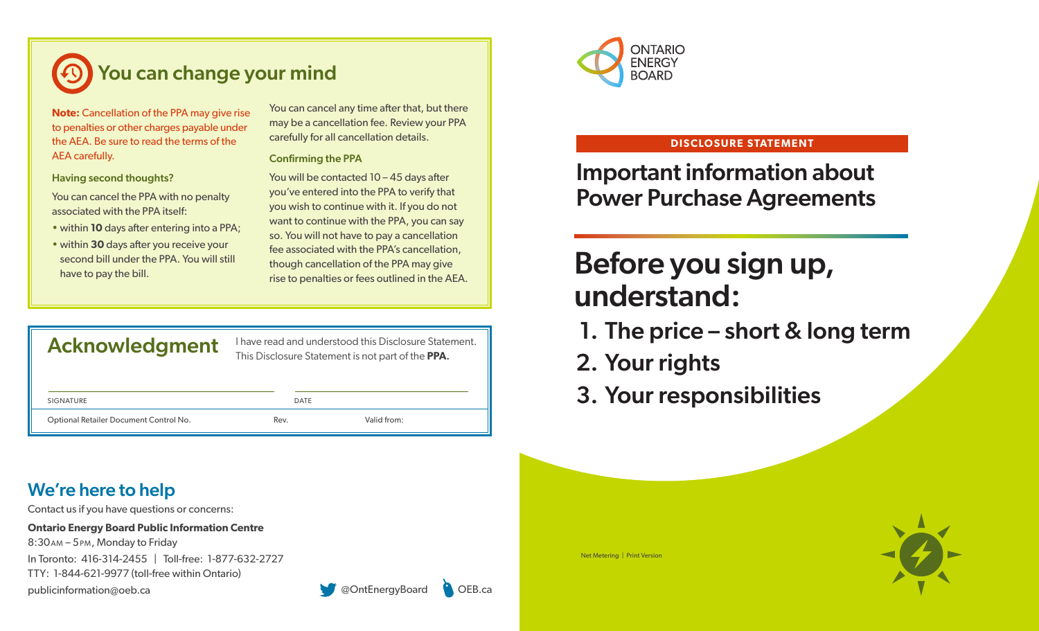

**Note:** Cancellation of the PPA may give rise to penalties or other charges payable under the AEA. Be sure to read the terms of the AEA carefully.

### Having second thoughts?

You can cancel the PPA with no penalty associated with the PPA itself:

- within **10** days after entering into a PPA;
- within **30** days after you receive your second bill under the PPA. You will still have to pay the bill.

You can cancel any time after that, but there may be a cancellation fee. Review your PPA carefully for all cancellation details.

### Confirming the PPA

You will be contacted 10 – 45 days after you've entered into the PPA to verify that you wish to continue with it. If you do not want to continue with the PPA, you can say so. You will not have to pay a cancellation fee associated with the PPA's cancellation, though cancellation of the PPA may give rise to penalties or fees outlined in the AEA.

Acknowledgment I have read and understood this Disclosure Statement. This Disclosure Statement is not part of the **PPA**.

| SIGNATURE                              | DATE |             |
|----------------------------------------|------|-------------|
| Optional Retailer Document Control No. | Rev. | Valid from: |

## We're here to help

Contact us if you have questions or concerns:

**Ontario Energy Board Public Information Centre** 

In Toronto: 416-314-2455 | Toll-free: 1-877-632-2727 8:30am – 5pm, Monday to Friday TTY: 1-844-621-9977 (toll-free within Ontario) publicinformation@oeb.ca **but content of the content of the CONTENT CONTENT CONTENT CONTENT CONTENT OF CONTENT CONTENT CONTENT CONTENT CONTENT CONTENT CONTENT CONTENT CONTENT CONTENT CONTENT CONTENT CONTENT CONTENT CONTENT** 





### **DISCLOSURE STATEMENT**

Important information about Power Purchase Agreements

# Before you sign up, understand:

- 1. The price short & long term
- 2. Your rights
- 3. Your responsibilities